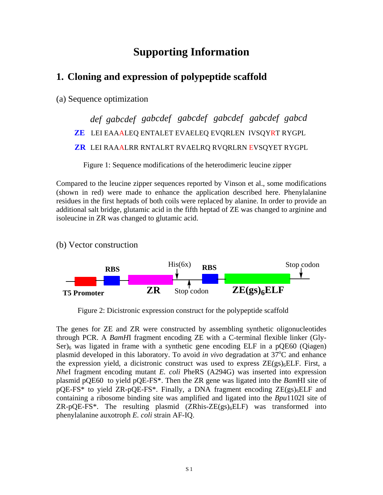# **Supporting Information**

## **1. Cloning and expression of polypeptide scaffold**

(a) Sequence optimization

# *def gabcdef gabcdef gabcdef gabcdef gabcdef gabcd* ZE LEI EAAALEQ ENTALET EVAELEQ EVQRLEN IVSQYRT RYGPL ZR LEI RAAALRR RNTALRT RVAELRQ RVQRLRN EVSQYET RYGPL

Figure 1: Sequence modifications of the heterodimeric leucine zipper

Compared to the leucine zipper sequences reported by Vinson et al., some modifications (shown in red) were made to enhance the application described here. Phenylalanine residues in the first heptads of both coils were replaced by alanine. In order to provide an additional salt bridge, glutamic acid in the fifth heptad of ZE was changed to arginine and isoleucine in ZR was changed to glutamic acid.

#### (b) Vector construction



Figure 2: Dicistronic expression construct for the polypeptide scaffold

The genes for ZE and ZR were constructed by assembling synthetic oligonucleotides through PCR. A *BamH*I fragment encoding ZE with a C-terminal flexible linker (Gly- $\text{Ser}$ <sub>6</sub> was ligated in frame with a synthetic gene encoding ELF in a pQE60 (Qiagen) plasmid developed in this laboratory. To avoid in vivo degradation at 37<sup>o</sup>C and enhance the expression yield, a dicistronic construct was used to express  $\text{ZE}\left(\text{gs}\right)_6\text{ELF}$ . First, a *Nhe*I fragment encoding mutant *E. coli* PheRS (A294G) was inserted into expression plasmid pQE60 to yield pQE-FS\*. Then the ZR gene was ligated into the *Bam*HI site of  $pQE-FS*$  to yield  $ZR-pQE-FS*$ . Finally, a DNA fragment encoding  $ZE(gs)_6ELF$  and containing a ribosome binding site was amplified and ligated into the *Bpu*1102I site of  $ZR-pQE-FS<sup>*</sup>$ . The resulting plasmid  $(ZRhis-ZE(gs)_6ELF)$  was transformed into phenylalanine auxotroph *E. coli* strain AF-IQ.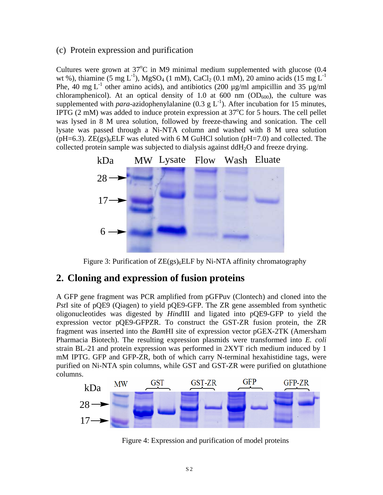#### (c) Protein expression and purification

Cultures were grown at  $37^{\circ}$ C in M9 minimal medium supplemented with glucose (0.4 wt %), thiamine (5 mg L<sup>-1</sup>), MgSO<sub>4</sub> (1 mM), CaCl<sub>2</sub> (0.1 mM), 20 amino acids (15 mg L<sup>-1</sup>) Phe, 40 mg L<sup>-1</sup> other amino acids), and antibiotics (200  $\mu$ g/ml ampicillin and 35  $\mu$ g/ml chloramphenicol). At an optical density of 1.0 at 600 nm  $(OD_{600})$ , the culture was supplemented with *para*-azidophenylalanine  $(0.3 \text{ g L}^{-1})$ . After incubation for 15 minutes, IPTG  $(2 \text{ mM})$  was added to induce protein expression at  $37^{\circ}$ C for 5 hours. The cell pellet was lysed in 8 M urea solution, followed by freeze-thawing and sonication. The cell lysate was passed through a Ni-NTA column and washed with 8 M urea solution (pH=6.3).  $ZE(gs)_6ELF$  was eluted with 6 M GuHCl solution (pH=7.0) and collected. The collected protein sample was subjected to dialysis against  $ddH<sub>2</sub>O$  and freeze drying.



Figure 3: Purification of  $ZE(gs)_6ELF$  by Ni-NTA affinity chromatography

#### **2. Cloning and expression of fusion proteins**

A GFP gene fragment was PCR amplified from pGFPuv (Clontech) and cloned into the *Pst*I site of pQE9 (Qiagen) to yield pQE9-GFP. The ZR gene assembled from synthetic oligonucleotides was digested by *Hind*III and ligated into pQE9-GFP to yield the expression vector pQE9-GFPZR. To construct the GST-ZR fusion protein, the ZR fragment was inserted into the *Bam*HI site of expression vector pGEX-2TK (Amersham Pharmacia Biotech). The resulting expression plasmids were transformed into *E. coli* strain BL-21 and protein expression was performed in 2XYT rich medium induced by 1 mM IPTG. GFP and GFP-ZR, both of which carry N-terminal hexahistidine tags, were purified on Ni-NTA spin columns, while GST and GST-ZR were purified on glutathione columns.



Figure 4: Expression and purification of model proteins